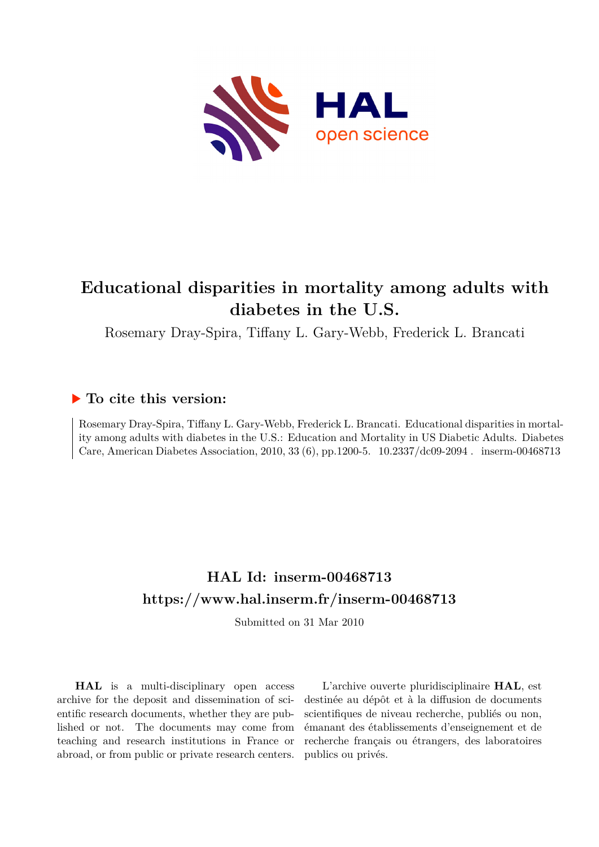

# **Educational disparities in mortality among adults with diabetes in the U.S.**

Rosemary Dray-Spira, Tiffany L. Gary-Webb, Frederick L. Brancati

## **To cite this version:**

Rosemary Dray-Spira, Tiffany L. Gary-Webb, Frederick L. Brancati. Educational disparities in mortality among adults with diabetes in the U.S.: Education and Mortality in US Diabetic Adults. Diabetes Care, American Diabetes Association, 2010, 33 (6), pp.1200-5.  $10.2337/\text{dc09-2094}$ . inserm-00468713

## **HAL Id: inserm-00468713 <https://www.hal.inserm.fr/inserm-00468713>**

Submitted on 31 Mar 2010

**HAL** is a multi-disciplinary open access archive for the deposit and dissemination of scientific research documents, whether they are published or not. The documents may come from teaching and research institutions in France or abroad, or from public or private research centers.

L'archive ouverte pluridisciplinaire **HAL**, est destinée au dépôt et à la diffusion de documents scientifiques de niveau recherche, publiés ou non, émanant des établissements d'enseignement et de recherche français ou étrangers, des laboratoires publics ou privés.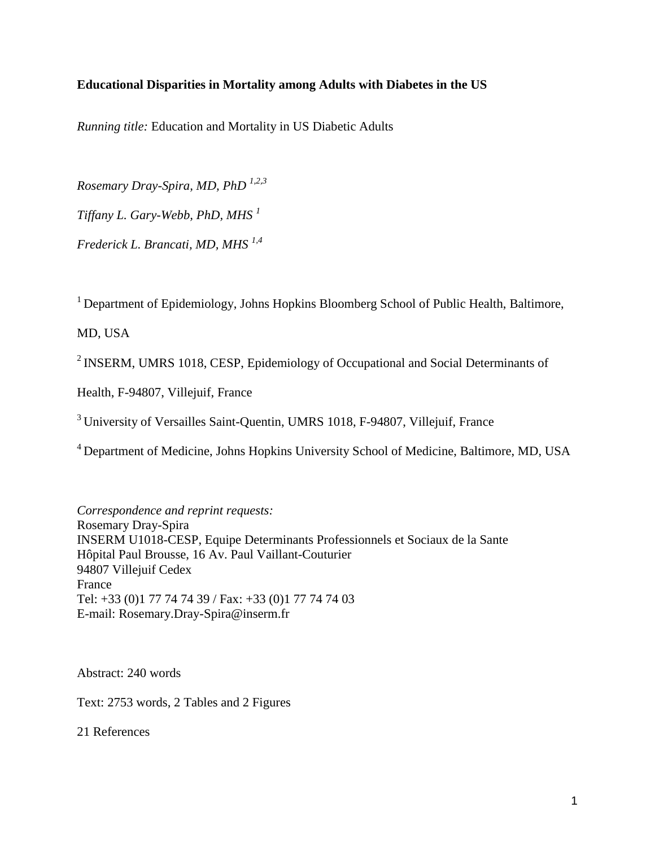### **Educational Disparities in Mortality among Adults with Diabetes in the US**

*Running title:* Education and Mortality in US Diabetic Adults

*Rosemary Dray-Spira, MD, PhD 1,2,3 Tiffany L. Gary-Webb, PhD, MHS <sup>1</sup> Frederick L. Brancati, MD, MHS 1,4*

<sup>1</sup> Department of Epidemiology, Johns Hopkins Bloomberg School of Public Health, Baltimore,

MD, USA

<sup>2</sup> INSERM, UMRS 1018, CESP, Epidemiology of Occupational and Social Determinants of

Health, F-94807, Villejuif, France

<sup>3</sup> University of Versailles Saint-Quentin, UMRS 1018, F-94807, Villejuif, France

<sup>4</sup> Department of Medicine, Johns Hopkins University School of Medicine, Baltimore, MD, USA

*Correspondence and reprint requests:* Rosemary Dray-Spira INSERM U1018-CESP, Equipe Determinants Professionnels et Sociaux de la Sante Hôpital Paul Brousse, 16 Av. Paul Vaillant-Couturier 94807 Villejuif Cedex France Tel: +33 (0)1 77 74 74 39 / Fax: +33 (0)1 77 74 74 03 E-mail: Rosemary.Dray-Spira@inserm.fr

Abstract: 240 words

Text: 2753 words, 2 Tables and 2 Figures

21 References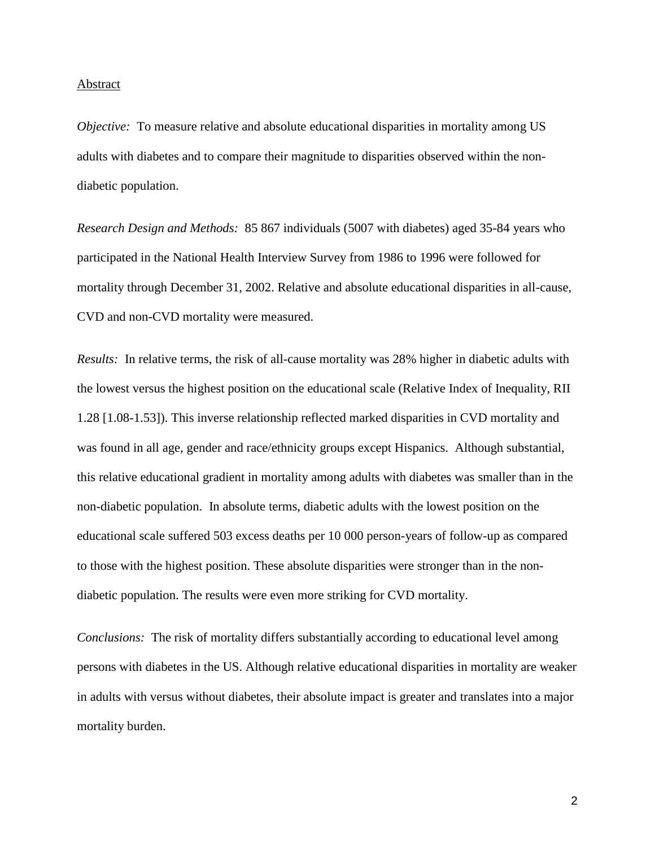#### Abstract

*Objective:* To measure relative and absolute educational disparities in mortality among US adults with diabetes and to compare their magnitude to disparities observed within the nondiabetic population.

*Research Design and Methods:* 85 867 individuals (5007 with diabetes) aged 35-84 years who participated in the National Health Interview Survey from 1986 to 1996 were followed for mortality through December 31, 2002. Relative and absolute educational disparities in all-cause, CVD and non-CVD mortality were measured.

*Results:* In relative terms, the risk of all-cause mortality was 28% higher in diabetic adults with the lowest versus the highest position on the educational scale (Relative Index of Inequality, RII 1.28 [1.08-1.53]). This inverse relationship reflected marked disparities in CVD mortality and was found in all age, gender and race/ethnicity groups except Hispanics. Although substantial, this relative educational gradient in mortality among adults with diabetes was smaller than in the non-diabetic population. In absolute terms, diabetic adults with the lowest position on the educational scale suffered 503 excess deaths per 10 000 person-years of follow-up as compared to those with the highest position. These absolute disparities were stronger than in the nondiabetic population. The results were even more striking for CVD mortality.

*Conclusions:* The risk of mortality differs substantially according to educational level among persons with diabetes in the US. Although relative educational disparities in mortality are weaker in adults with versus without diabetes, their absolute impact is greater and translates into a major mortality burden.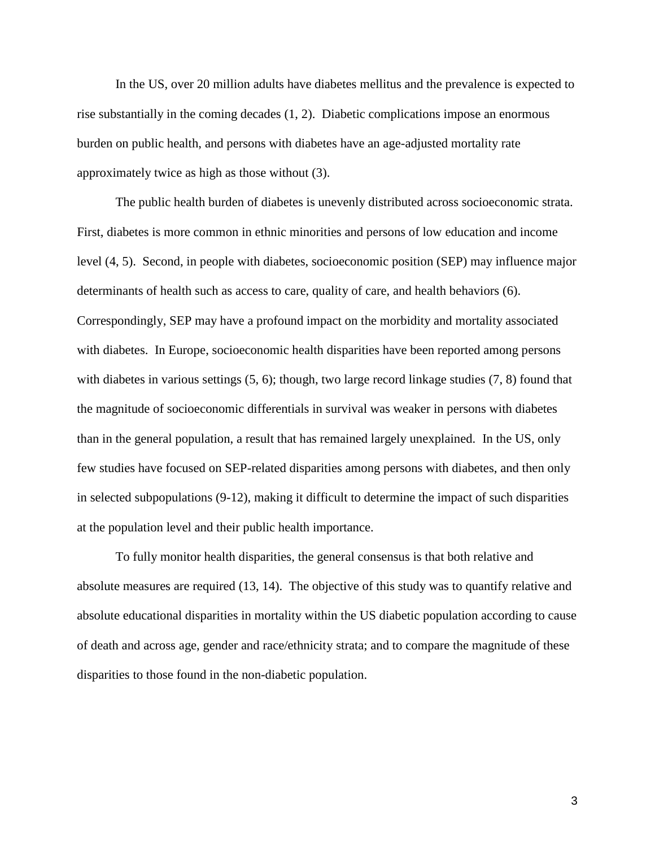In the US, over 20 million adults have diabetes mellitus and the prevalence is expected to rise substantially in the coming decades (1, 2). Diabetic complications impose an enormous burden on public health, and persons with diabetes have an age-adjusted mortality rate approximately twice as high as those without (3).

The public health burden of diabetes is unevenly distributed across socioeconomic strata. First, diabetes is more common in ethnic minorities and persons of low education and income level (4, 5). Second, in people with diabetes, socioeconomic position (SEP) may influence major determinants of health such as access to care, quality of care, and health behaviors (6). Correspondingly, SEP may have a profound impact on the morbidity and mortality associated with diabetes. In Europe, socioeconomic health disparities have been reported among persons with diabetes in various settings (5, 6); though, two large record linkage studies (7, 8) found that the magnitude of socioeconomic differentials in survival was weaker in persons with diabetes than in the general population, a result that has remained largely unexplained. In the US, only few studies have focused on SEP-related disparities among persons with diabetes, and then only in selected subpopulations (9-12), making it difficult to determine the impact of such disparities at the population level and their public health importance.

To fully monitor health disparities, the general consensus is that both relative and absolute measures are required (13, 14). The objective of this study was to quantify relative and absolute educational disparities in mortality within the US diabetic population according to cause of death and across age, gender and race/ethnicity strata; and to compare the magnitude of these disparities to those found in the non-diabetic population.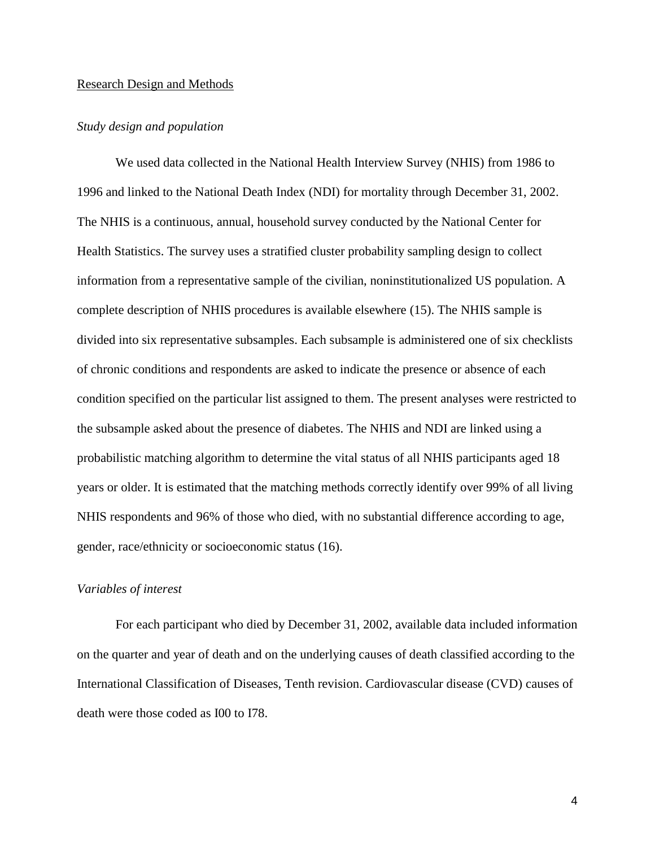#### Research Design and Methods

#### *Study design and population*

We used data collected in the National Health Interview Survey (NHIS) from 1986 to 1996 and linked to the National Death Index (NDI) for mortality through December 31, 2002. The NHIS is a continuous, annual, household survey conducted by the National Center for Health Statistics. The survey uses a stratified cluster probability sampling design to collect information from a representative sample of the civilian, noninstitutionalized US population. A complete description of NHIS procedures is available elsewhere (15). The NHIS sample is divided into six representative subsamples. Each subsample is administered one of six checklists of chronic conditions and respondents are asked to indicate the presence or absence of each condition specified on the particular list assigned to them. The present analyses were restricted to the subsample asked about the presence of diabetes. The NHIS and NDI are linked using a probabilistic matching algorithm to determine the vital status of all NHIS participants aged 18 years or older. It is estimated that the matching methods correctly identify over 99% of all living NHIS respondents and 96% of those who died, with no substantial difference according to age, gender, race/ethnicity or socioeconomic status (16).

#### *Variables of interest*

For each participant who died by December 31, 2002, available data included information on the quarter and year of death and on the underlying causes of death classified according to the International Classification of Diseases, Tenth revision. Cardiovascular disease (CVD) causes of death were those coded as I00 to I78.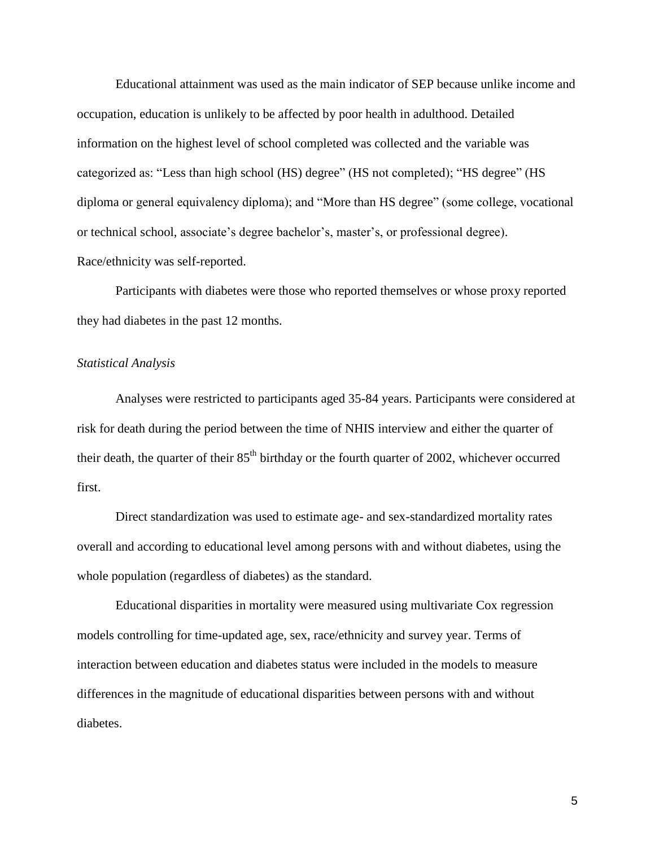Educational attainment was used as the main indicator of SEP because unlike income and occupation, education is unlikely to be affected by poor health in adulthood. Detailed information on the highest level of school completed was collected and the variable was categorized as: "Less than high school (HS) degree" (HS not completed); "HS degree" (HS diploma or general equivalency diploma); and "More than HS degree" (some college, vocational or technical school, associate's degree bachelor's, master's, or professional degree). Race/ethnicity was self-reported.

Participants with diabetes were those who reported themselves or whose proxy reported they had diabetes in the past 12 months.

#### *Statistical Analysis*

Analyses were restricted to participants aged 35-84 years. Participants were considered at risk for death during the period between the time of NHIS interview and either the quarter of their death, the quarter of their  $85<sup>th</sup>$  birthday or the fourth quarter of 2002, whichever occurred first.

Direct standardization was used to estimate age- and sex-standardized mortality rates overall and according to educational level among persons with and without diabetes, using the whole population (regardless of diabetes) as the standard.

Educational disparities in mortality were measured using multivariate Cox regression models controlling for time-updated age, sex, race/ethnicity and survey year. Terms of interaction between education and diabetes status were included in the models to measure differences in the magnitude of educational disparities between persons with and without diabetes.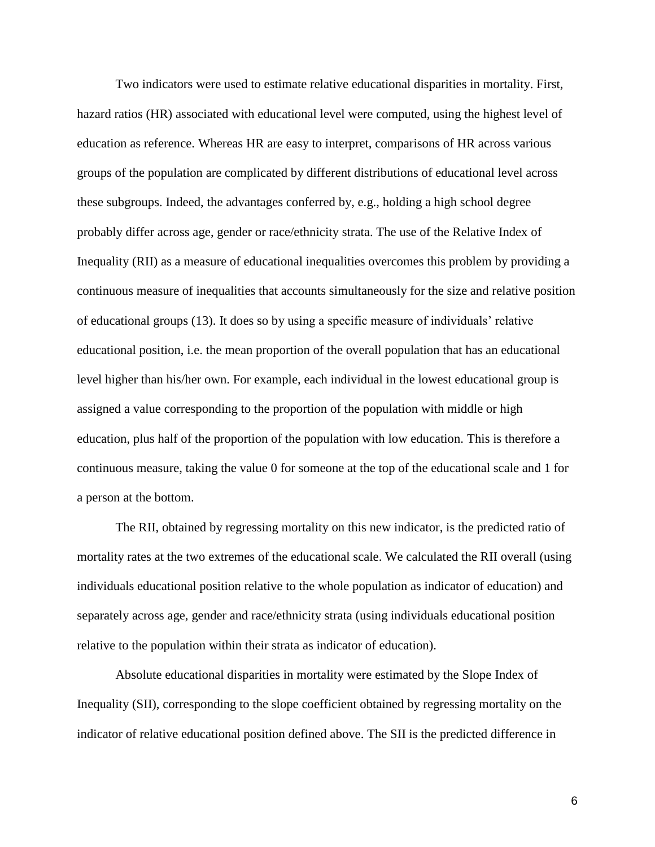Two indicators were used to estimate relative educational disparities in mortality. First, hazard ratios (HR) associated with educational level were computed, using the highest level of education as reference. Whereas HR are easy to interpret, comparisons of HR across various groups of the population are complicated by different distributions of educational level across these subgroups. Indeed, the advantages conferred by, e.g., holding a high school degree probably differ across age, gender or race/ethnicity strata. The use of the Relative Index of Inequality (RII) as a measure of educational inequalities overcomes this problem by providing a continuous measure of inequalities that accounts simultaneously for the size and relative position of educational groups (13). It does so by using a specific measure of individuals' relative educational position, i.e. the mean proportion of the overall population that has an educational level higher than his/her own. For example, each individual in the lowest educational group is assigned a value corresponding to the proportion of the population with middle or high education, plus half of the proportion of the population with low education. This is therefore a continuous measure, taking the value 0 for someone at the top of the educational scale and 1 for a person at the bottom.

The RII, obtained by regressing mortality on this new indicator, is the predicted ratio of mortality rates at the two extremes of the educational scale. We calculated the RII overall (using individuals educational position relative to the whole population as indicator of education) and separately across age, gender and race/ethnicity strata (using individuals educational position relative to the population within their strata as indicator of education).

Absolute educational disparities in mortality were estimated by the Slope Index of Inequality (SII), corresponding to the slope coefficient obtained by regressing mortality on the indicator of relative educational position defined above. The SII is the predicted difference in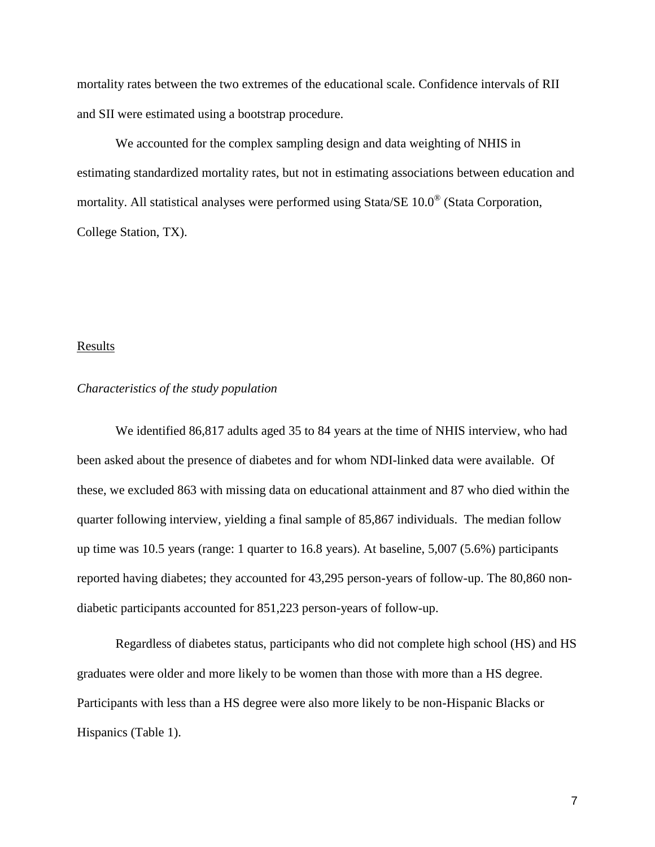mortality rates between the two extremes of the educational scale. Confidence intervals of RII and SII were estimated using a bootstrap procedure.

We accounted for the complex sampling design and data weighting of NHIS in estimating standardized mortality rates, but not in estimating associations between education and mortality. All statistical analyses were performed using Stata/SE 10.0<sup>®</sup> (Stata Corporation, College Station, TX).

#### **Results**

#### *Characteristics of the study population*

We identified 86,817 adults aged 35 to 84 years at the time of NHIS interview, who had been asked about the presence of diabetes and for whom NDI-linked data were available. Of these, we excluded 863 with missing data on educational attainment and 87 who died within the quarter following interview, yielding a final sample of 85,867 individuals. The median follow up time was 10.5 years (range: 1 quarter to 16.8 years). At baseline, 5,007 (5.6%) participants reported having diabetes; they accounted for 43,295 person-years of follow-up. The 80,860 nondiabetic participants accounted for 851,223 person-years of follow-up.

Regardless of diabetes status, participants who did not complete high school (HS) and HS graduates were older and more likely to be women than those with more than a HS degree. Participants with less than a HS degree were also more likely to be non-Hispanic Blacks or Hispanics (Table 1).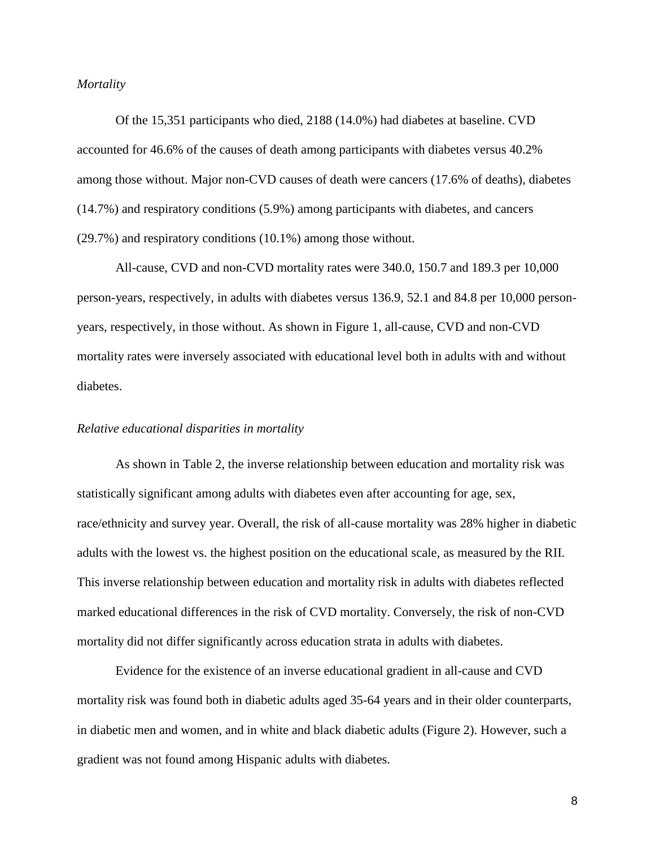#### *Mortality*

Of the 15,351 participants who died, 2188 (14.0%) had diabetes at baseline. CVD accounted for 46.6% of the causes of death among participants with diabetes versus 40.2% among those without. Major non-CVD causes of death were cancers (17.6% of deaths), diabetes (14.7%) and respiratory conditions (5.9%) among participants with diabetes, and cancers (29.7%) and respiratory conditions (10.1%) among those without.

All-cause, CVD and non-CVD mortality rates were 340.0, 150.7 and 189.3 per 10,000 person-years, respectively, in adults with diabetes versus 136.9, 52.1 and 84.8 per 10,000 personyears, respectively, in those without. As shown in Figure 1, all-cause, CVD and non-CVD mortality rates were inversely associated with educational level both in adults with and without diabetes.

#### *Relative educational disparities in mortality*

As shown in Table 2, the inverse relationship between education and mortality risk was statistically significant among adults with diabetes even after accounting for age, sex, race/ethnicity and survey year. Overall, the risk of all-cause mortality was 28% higher in diabetic adults with the lowest vs. the highest position on the educational scale, as measured by the RII. This inverse relationship between education and mortality risk in adults with diabetes reflected marked educational differences in the risk of CVD mortality. Conversely, the risk of non-CVD mortality did not differ significantly across education strata in adults with diabetes.

Evidence for the existence of an inverse educational gradient in all-cause and CVD mortality risk was found both in diabetic adults aged 35-64 years and in their older counterparts, in diabetic men and women, and in white and black diabetic adults (Figure 2). However, such a gradient was not found among Hispanic adults with diabetes.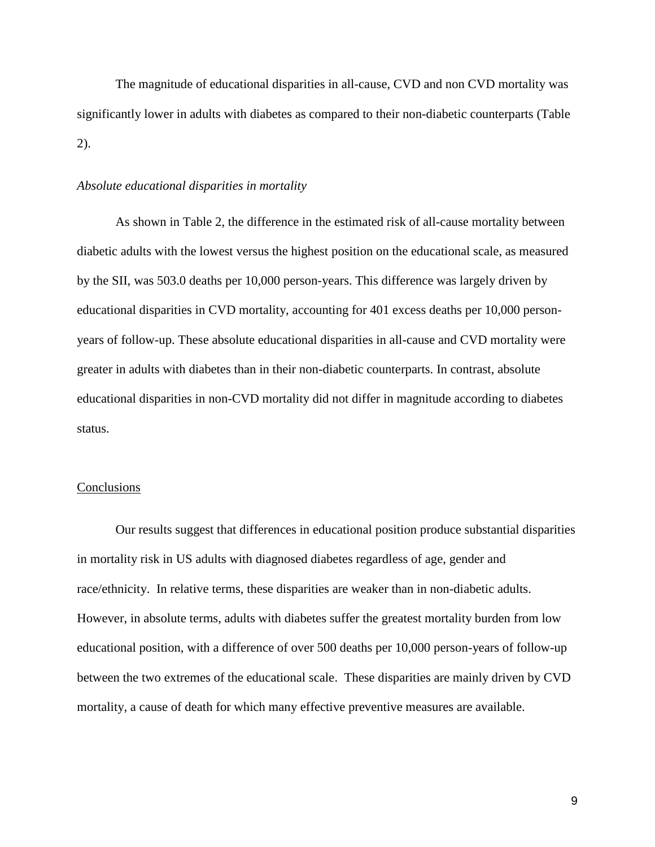The magnitude of educational disparities in all-cause, CVD and non CVD mortality was significantly lower in adults with diabetes as compared to their non-diabetic counterparts (Table 2).

#### *Absolute educational disparities in mortality*

As shown in Table 2, the difference in the estimated risk of all-cause mortality between diabetic adults with the lowest versus the highest position on the educational scale, as measured by the SII, was 503.0 deaths per 10,000 person-years. This difference was largely driven by educational disparities in CVD mortality, accounting for 401 excess deaths per 10,000 personyears of follow-up. These absolute educational disparities in all-cause and CVD mortality were greater in adults with diabetes than in their non-diabetic counterparts. In contrast, absolute educational disparities in non-CVD mortality did not differ in magnitude according to diabetes status.

#### **Conclusions**

Our results suggest that differences in educational position produce substantial disparities in mortality risk in US adults with diagnosed diabetes regardless of age, gender and race/ethnicity. In relative terms, these disparities are weaker than in non-diabetic adults. However, in absolute terms, adults with diabetes suffer the greatest mortality burden from low educational position, with a difference of over 500 deaths per 10,000 person-years of follow-up between the two extremes of the educational scale. These disparities are mainly driven by CVD mortality, a cause of death for which many effective preventive measures are available.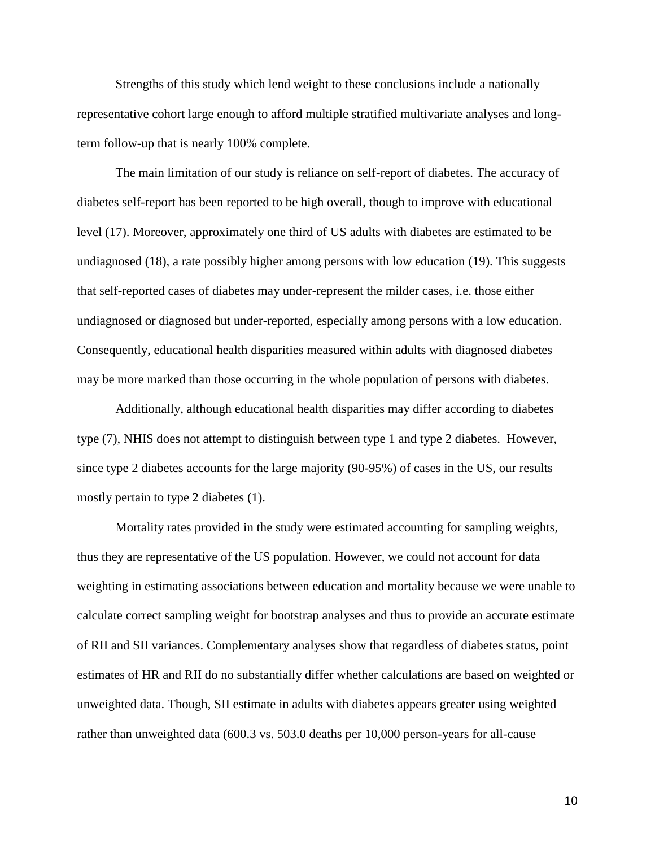Strengths of this study which lend weight to these conclusions include a nationally representative cohort large enough to afford multiple stratified multivariate analyses and longterm follow-up that is nearly 100% complete.

The main limitation of our study is reliance on self-report of diabetes. The accuracy of diabetes self-report has been reported to be high overall, though to improve with educational level (17). Moreover, approximately one third of US adults with diabetes are estimated to be undiagnosed (18), a rate possibly higher among persons with low education (19). This suggests that self-reported cases of diabetes may under-represent the milder cases, i.e. those either undiagnosed or diagnosed but under-reported, especially among persons with a low education. Consequently, educational health disparities measured within adults with diagnosed diabetes may be more marked than those occurring in the whole population of persons with diabetes.

Additionally, although educational health disparities may differ according to diabetes type (7), NHIS does not attempt to distinguish between type 1 and type 2 diabetes. However, since type 2 diabetes accounts for the large majority (90-95%) of cases in the US, our results mostly pertain to type 2 diabetes (1).

Mortality rates provided in the study were estimated accounting for sampling weights, thus they are representative of the US population. However, we could not account for data weighting in estimating associations between education and mortality because we were unable to calculate correct sampling weight for bootstrap analyses and thus to provide an accurate estimate of RII and SII variances. Complementary analyses show that regardless of diabetes status, point estimates of HR and RII do no substantially differ whether calculations are based on weighted or unweighted data. Though, SII estimate in adults with diabetes appears greater using weighted rather than unweighted data (600.3 vs. 503.0 deaths per 10,000 person-years for all-cause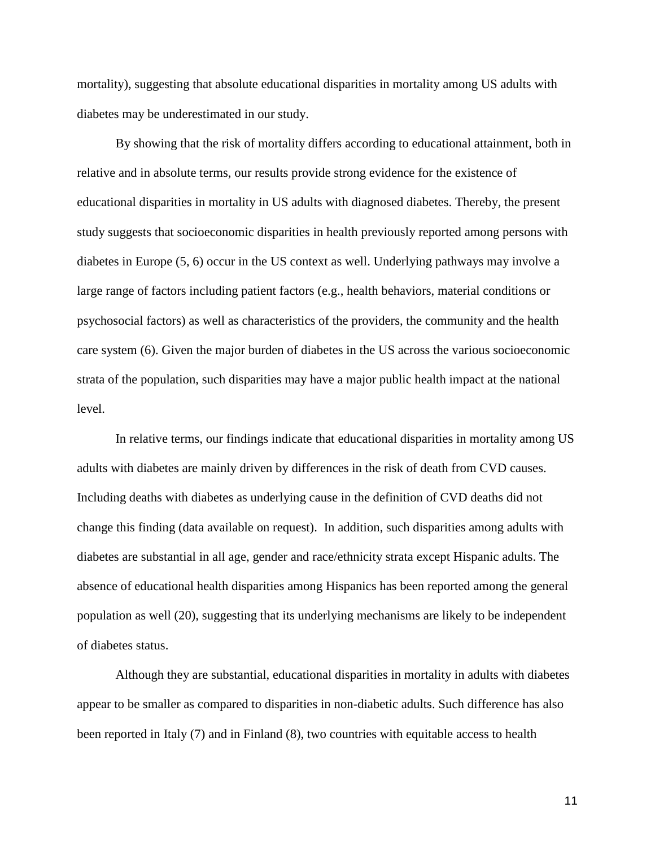mortality), suggesting that absolute educational disparities in mortality among US adults with diabetes may be underestimated in our study.

By showing that the risk of mortality differs according to educational attainment, both in relative and in absolute terms, our results provide strong evidence for the existence of educational disparities in mortality in US adults with diagnosed diabetes. Thereby, the present study suggests that socioeconomic disparities in health previously reported among persons with diabetes in Europe (5, 6) occur in the US context as well. Underlying pathways may involve a large range of factors including patient factors (e.g., health behaviors, material conditions or psychosocial factors) as well as characteristics of the providers, the community and the health care system (6). Given the major burden of diabetes in the US across the various socioeconomic strata of the population, such disparities may have a major public health impact at the national level.

In relative terms, our findings indicate that educational disparities in mortality among US adults with diabetes are mainly driven by differences in the risk of death from CVD causes. Including deaths with diabetes as underlying cause in the definition of CVD deaths did not change this finding (data available on request). In addition, such disparities among adults with diabetes are substantial in all age, gender and race/ethnicity strata except Hispanic adults. The absence of educational health disparities among Hispanics has been reported among the general population as well (20), suggesting that its underlying mechanisms are likely to be independent of diabetes status.

Although they are substantial, educational disparities in mortality in adults with diabetes appear to be smaller as compared to disparities in non-diabetic adults. Such difference has also been reported in Italy (7) and in Finland (8), two countries with equitable access to health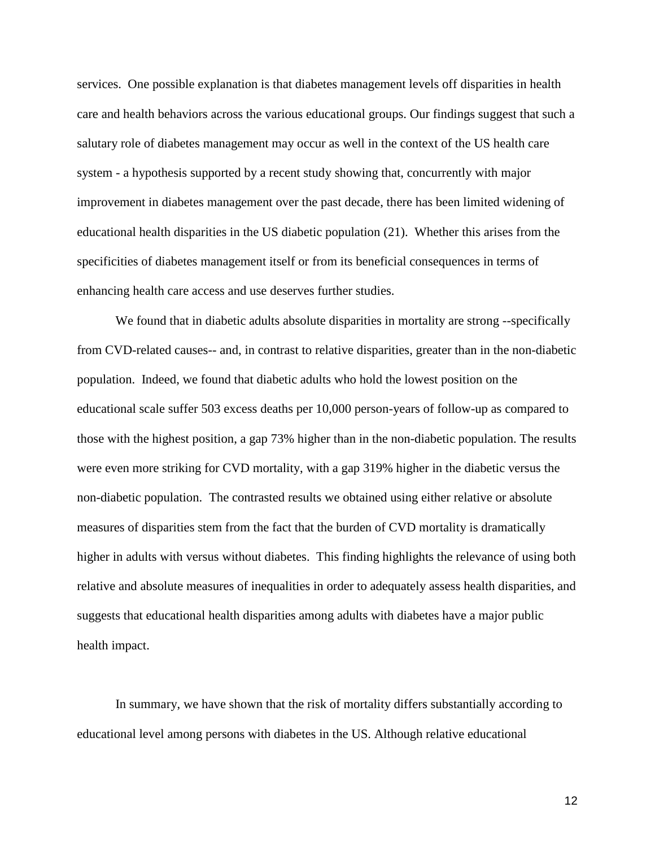services. One possible explanation is that diabetes management levels off disparities in health care and health behaviors across the various educational groups. Our findings suggest that such a salutary role of diabetes management may occur as well in the context of the US health care system - a hypothesis supported by a recent study showing that, concurrently with major improvement in diabetes management over the past decade, there has been limited widening of educational health disparities in the US diabetic population (21). Whether this arises from the specificities of diabetes management itself or from its beneficial consequences in terms of enhancing health care access and use deserves further studies.

We found that in diabetic adults absolute disparities in mortality are strong --specifically from CVD-related causes-- and, in contrast to relative disparities, greater than in the non-diabetic population. Indeed, we found that diabetic adults who hold the lowest position on the educational scale suffer 503 excess deaths per 10,000 person-years of follow-up as compared to those with the highest position, a gap 73% higher than in the non-diabetic population. The results were even more striking for CVD mortality, with a gap 319% higher in the diabetic versus the non-diabetic population. The contrasted results we obtained using either relative or absolute measures of disparities stem from the fact that the burden of CVD mortality is dramatically higher in adults with versus without diabetes. This finding highlights the relevance of using both relative and absolute measures of inequalities in order to adequately assess health disparities, and suggests that educational health disparities among adults with diabetes have a major public health impact.

In summary, we have shown that the risk of mortality differs substantially according to educational level among persons with diabetes in the US. Although relative educational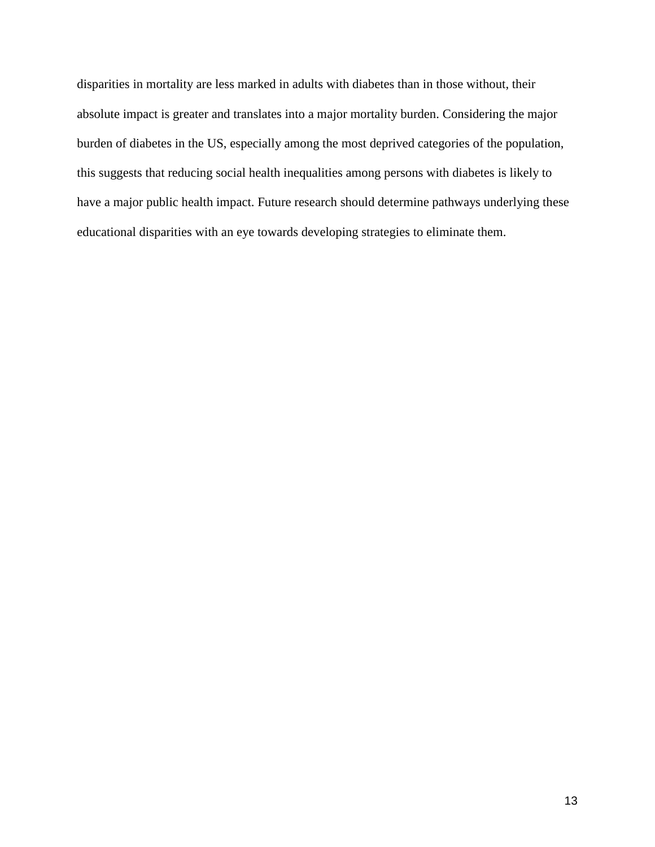disparities in mortality are less marked in adults with diabetes than in those without, their absolute impact is greater and translates into a major mortality burden. Considering the major burden of diabetes in the US, especially among the most deprived categories of the population, this suggests that reducing social health inequalities among persons with diabetes is likely to have a major public health impact. Future research should determine pathways underlying these educational disparities with an eye towards developing strategies to eliminate them.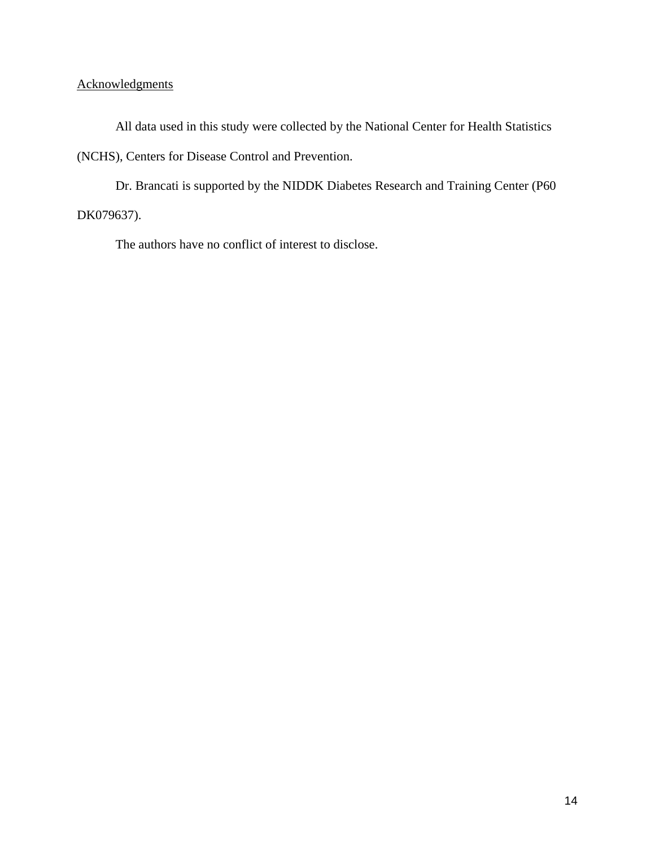### **Acknowledgments**

All data used in this study were collected by the National Center for Health Statistics (NCHS), Centers for Disease Control and Prevention.

Dr. Brancati is supported by the NIDDK Diabetes Research and Training Center (P60 DK079637).

The authors have no conflict of interest to disclose.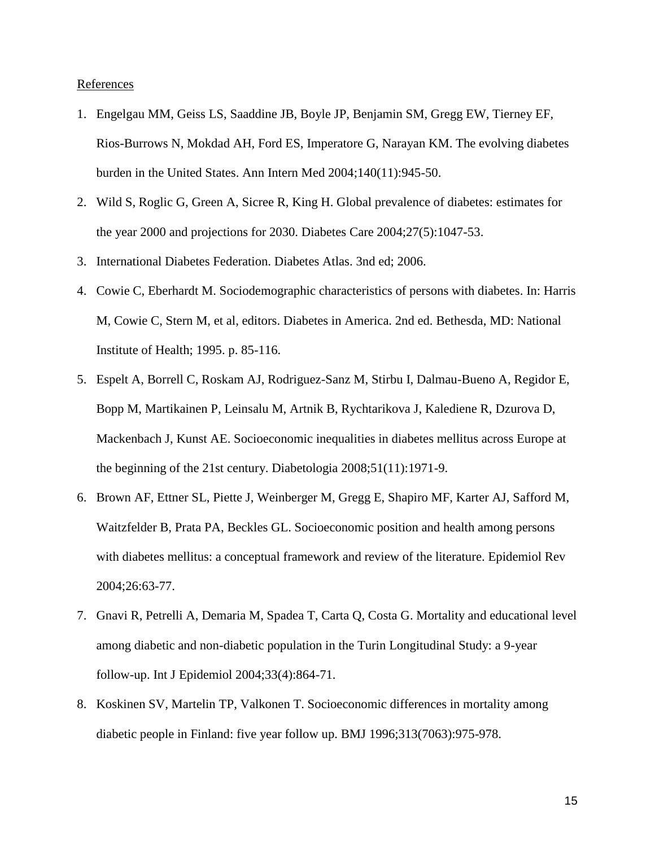#### References

- 1. Engelgau MM, Geiss LS, Saaddine JB, Boyle JP, Benjamin SM, Gregg EW, Tierney EF, Rios-Burrows N, Mokdad AH, Ford ES, Imperatore G, Narayan KM. The evolving diabetes burden in the United States. Ann Intern Med 2004;140(11):945-50.
- 2. Wild S, Roglic G, Green A, Sicree R, King H. Global prevalence of diabetes: estimates for the year 2000 and projections for 2030. Diabetes Care 2004;27(5):1047-53.
- 3. International Diabetes Federation. Diabetes Atlas. 3nd ed; 2006.
- 4. Cowie C, Eberhardt M. Sociodemographic characteristics of persons with diabetes. In: Harris M, Cowie C, Stern M, et al, editors. Diabetes in America. 2nd ed. Bethesda, MD: National Institute of Health; 1995. p. 85-116.
- 5. Espelt A, Borrell C, Roskam AJ, Rodriguez-Sanz M, Stirbu I, Dalmau-Bueno A, Regidor E, Bopp M, Martikainen P, Leinsalu M, Artnik B, Rychtarikova J, Kalediene R, Dzurova D, Mackenbach J, Kunst AE. Socioeconomic inequalities in diabetes mellitus across Europe at the beginning of the 21st century. Diabetologia 2008;51(11):1971-9.
- 6. Brown AF, Ettner SL, Piette J, Weinberger M, Gregg E, Shapiro MF, Karter AJ, Safford M, Waitzfelder B, Prata PA, Beckles GL. Socioeconomic position and health among persons with diabetes mellitus: a conceptual framework and review of the literature. Epidemiol Rev 2004;26:63-77.
- 7. Gnavi R, Petrelli A, Demaria M, Spadea T, Carta Q, Costa G. Mortality and educational level among diabetic and non-diabetic population in the Turin Longitudinal Study: a 9-year follow-up. Int J Epidemiol 2004;33(4):864-71.
- 8. Koskinen SV, Martelin TP, Valkonen T. Socioeconomic differences in mortality among diabetic people in Finland: five year follow up. BMJ 1996;313(7063):975-978.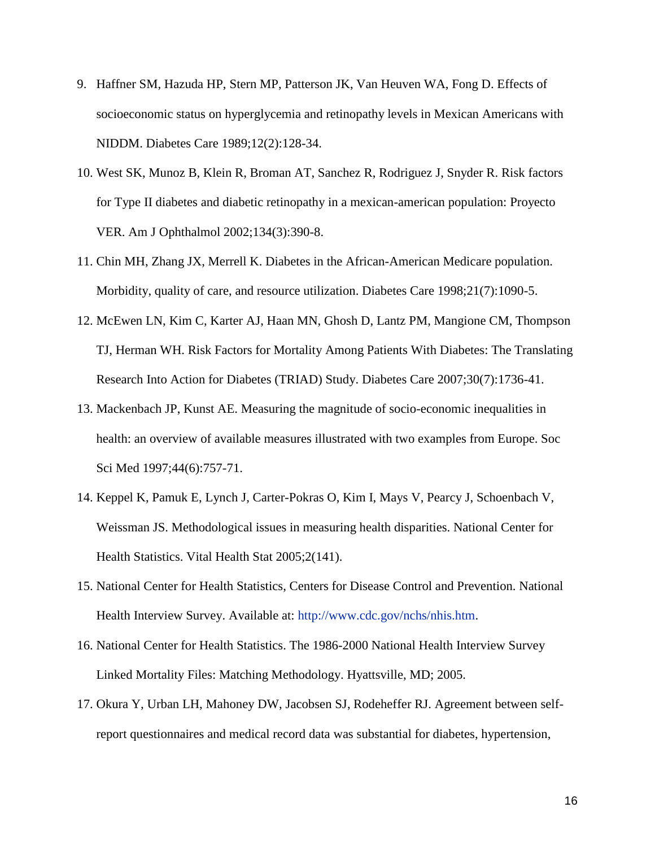- 9. Haffner SM, Hazuda HP, Stern MP, Patterson JK, Van Heuven WA, Fong D. Effects of socioeconomic status on hyperglycemia and retinopathy levels in Mexican Americans with NIDDM. Diabetes Care 1989;12(2):128-34.
- 10. West SK, Munoz B, Klein R, Broman AT, Sanchez R, Rodriguez J, Snyder R. Risk factors for Type II diabetes and diabetic retinopathy in a mexican-american population: Proyecto VER. Am J Ophthalmol 2002;134(3):390-8.
- 11. Chin MH, Zhang JX, Merrell K. Diabetes in the African-American Medicare population. Morbidity, quality of care, and resource utilization. Diabetes Care 1998;21(7):1090-5.
- 12. McEwen LN, Kim C, Karter AJ, Haan MN, Ghosh D, Lantz PM, Mangione CM, Thompson TJ, Herman WH. Risk Factors for Mortality Among Patients With Diabetes: The Translating Research Into Action for Diabetes (TRIAD) Study. Diabetes Care 2007;30(7):1736-41.
- 13. Mackenbach JP, Kunst AE. Measuring the magnitude of socio-economic inequalities in health: an overview of available measures illustrated with two examples from Europe. Soc Sci Med 1997;44(6):757-71.
- 14. Keppel K, Pamuk E, Lynch J, Carter-Pokras O, Kim I, Mays V, Pearcy J, Schoenbach V, Weissman JS. Methodological issues in measuring health disparities. National Center for Health Statistics. Vital Health Stat 2005;2(141).
- 15. National Center for Health Statistics, Centers for Disease Control and Prevention. National Health Interview Survey. Available at: [http://www.cdc.gov/nchs/nhis.htm.](http://www.cdc.gov/nchs/nhis.htm)
- 16. National Center for Health Statistics. The 1986-2000 National Health Interview Survey Linked Mortality Files: Matching Methodology. Hyattsville, MD; 2005.
- 17. Okura Y, Urban LH, Mahoney DW, Jacobsen SJ, Rodeheffer RJ. Agreement between selfreport questionnaires and medical record data was substantial for diabetes, hypertension,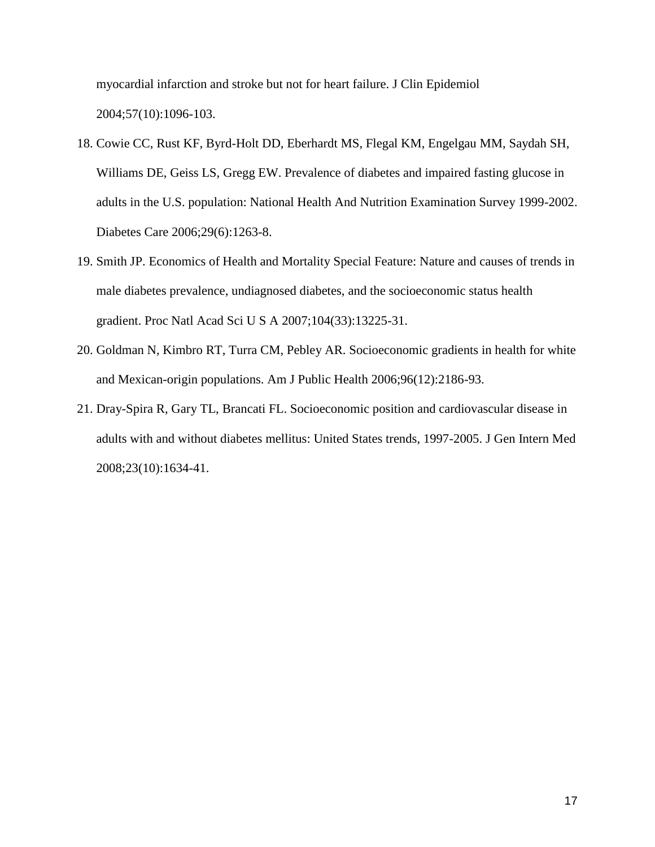myocardial infarction and stroke but not for heart failure. J Clin Epidemiol 2004;57(10):1096-103.

- 18. Cowie CC, Rust KF, Byrd-Holt DD, Eberhardt MS, Flegal KM, Engelgau MM, Saydah SH, Williams DE, Geiss LS, Gregg EW. Prevalence of diabetes and impaired fasting glucose in adults in the U.S. population: National Health And Nutrition Examination Survey 1999-2002. Diabetes Care 2006;29(6):1263-8.
- 19. Smith JP. Economics of Health and Mortality Special Feature: Nature and causes of trends in male diabetes prevalence, undiagnosed diabetes, and the socioeconomic status health gradient. Proc Natl Acad Sci U S A 2007;104(33):13225-31.
- 20. Goldman N, Kimbro RT, Turra CM, Pebley AR. Socioeconomic gradients in health for white and Mexican-origin populations. Am J Public Health 2006;96(12):2186-93.
- 21. Dray-Spira R, Gary TL, Brancati FL. Socioeconomic position and cardiovascular disease in adults with and without diabetes mellitus: United States trends, 1997-2005. J Gen Intern Med 2008;23(10):1634-41.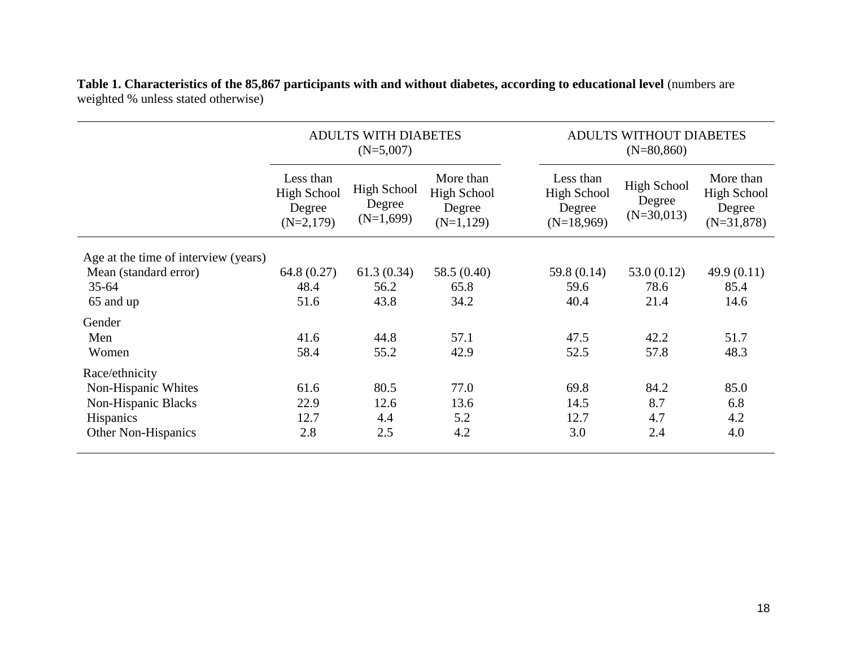|                                      | <b>ADULTS WITH DIABETES</b><br>$(N=5,007)$        |                                             |                                                          | ADULTS WITHOUT DIABETES<br>$(N=80, 860)$                  |                                              |                                                           |
|--------------------------------------|---------------------------------------------------|---------------------------------------------|----------------------------------------------------------|-----------------------------------------------------------|----------------------------------------------|-----------------------------------------------------------|
|                                      | Less than<br>High School<br>Degree<br>$(N=2,179)$ | <b>High School</b><br>Degree<br>$(N=1,699)$ | More than<br><b>High School</b><br>Degree<br>$(N=1,129)$ | Less than<br><b>High School</b><br>Degree<br>$(N=18,969)$ | <b>High School</b><br>Degree<br>$(N=30,013)$ | More than<br><b>High School</b><br>Degree<br>$(N=31,878)$ |
| Age at the time of interview (years) |                                                   |                                             |                                                          |                                                           |                                              |                                                           |
| Mean (standard error)                | 64.8 (0.27)                                       | 61.3(0.34)                                  | 58.5 (0.40)                                              | 59.8 (0.14)                                               | 53.0(0.12)                                   | 49.9(0.11)                                                |
| $35 - 64$                            | 48.4                                              | 56.2                                        | 65.8                                                     | 59.6                                                      | 78.6                                         | 85.4                                                      |
| 65 and up                            | 51.6                                              | 43.8                                        | 34.2                                                     | 40.4                                                      | 21.4                                         | 14.6                                                      |
| Gender                               |                                                   |                                             |                                                          |                                                           |                                              |                                                           |
| Men                                  | 41.6                                              | 44.8                                        | 57.1                                                     | 47.5                                                      | 42.2                                         | 51.7                                                      |
| Women                                | 58.4                                              | 55.2                                        | 42.9                                                     | 52.5                                                      | 57.8                                         | 48.3                                                      |
| Race/ethnicity                       |                                                   |                                             |                                                          |                                                           |                                              |                                                           |
| Non-Hispanic Whites                  | 61.6                                              | 80.5                                        | 77.0                                                     | 69.8                                                      | 84.2                                         | 85.0                                                      |
| Non-Hispanic Blacks                  | 22.9                                              | 12.6                                        | 13.6                                                     | 14.5                                                      | 8.7                                          | 6.8                                                       |
| Hispanics                            | 12.7                                              | 4.4                                         | 5.2                                                      | 12.7                                                      | 4.7                                          | 4.2                                                       |
| <b>Other Non-Hispanics</b>           | 2.8                                               | 2.5                                         | 4.2                                                      | 3.0                                                       | 2.4                                          | 4.0                                                       |

**Table 1. Characteristics of the 85,867 participants with and without diabetes, according to educational level** (numbers are weighted % unless stated otherwise)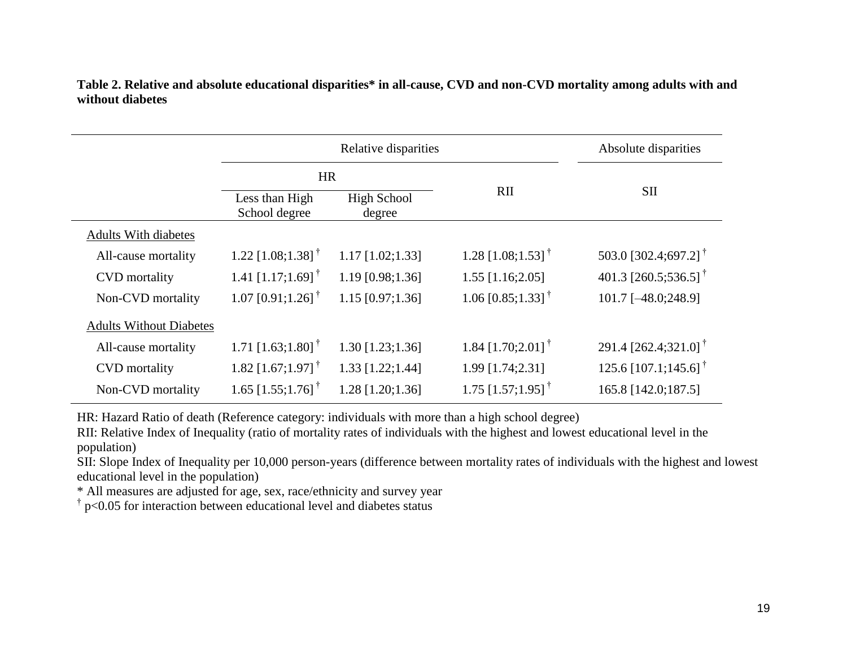|                             |                                  | Absolute disparities         |                                 |                                  |  |
|-----------------------------|----------------------------------|------------------------------|---------------------------------|----------------------------------|--|
|                             | <b>HR</b>                        |                              |                                 |                                  |  |
|                             | Less than High<br>School degree  | <b>High School</b><br>degree | RII                             | <b>SII</b>                       |  |
| <b>Adults With diabetes</b> |                                  |                              |                                 |                                  |  |
| All-cause mortality         | 1.22 $[1.08; 1.38]$ <sup>†</sup> | $1.17$ [1.02;1.33]           | 1.28 [1.08;1.53] <sup>†</sup>   | 503.0 [302.4;697.2] <sup>†</sup> |  |
| <b>CVD</b> mortality        | 1.41 $[1.17;1.69]$ <sup>†</sup>  | 1.19 [0.98;1.36]             | $1.55$ [1.16;2.05]              | 401.3 [260.5;536.5] <sup>†</sup> |  |
| Non-CVD mortality           | 1.07 $[0.91;1.26]$ <sup>†</sup>  | $1.15$ [0.97;1.36]           | 1.06 $[0.85;1.33]$ <sup>†</sup> | 101.7 [-48.0;248.9]              |  |

**Table 2. Relative and absolute educational disparities\* in all-cause, CVD and non-CVD mortality among adults with and without diabetes**

HR: Hazard Ratio of death (Reference category: individuals with more than a high school degree)

RII: Relative Index of Inequality (ratio of mortality rates of individuals with the highest and lowest educational level in the population)

SII: Slope Index of Inequality per 10,000 person-years (difference between mortality rates of individuals with the highest and lowest educational level in the population)

1.30  $\begin{bmatrix} 1.23; 1.36 \end{bmatrix}$  1.84  $\begin{bmatrix} 1.70; 2.01 \end{bmatrix}^{\dagger}$ 

1.28 [1.20;1.36]  $1.75$  [1.57;1.95]<sup>†</sup>

1.33 [1.22;1.44] 1.99 [1.74;2.31] 125.6 [107.1;145.6] †

\* All measures are adjusted for age, sex, race/ethnicity and survey year

 $\uparrow$  p<0.05 for interaction between educational level and diabetes status

All-cause mortality  $1.71$   $[1.63;1.80]$ <sup>†</sup>

CVD mortality 1.82  $[1.67;1.97]$ <sup>†</sup>

Non-CVD mortality 1.65 [1.55;1.76] †

291.4 [262.4;321.0] †

165.8 [142.0;187.5]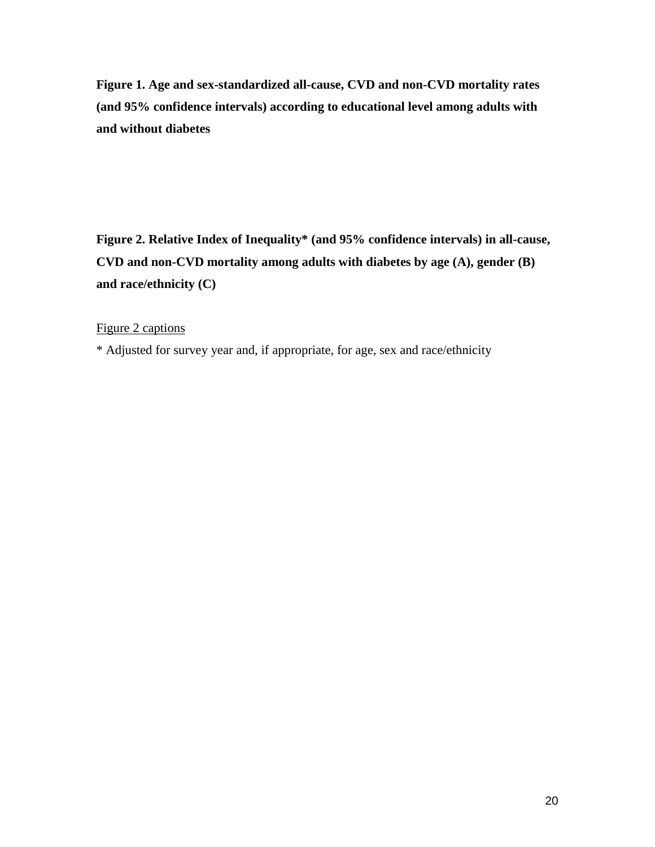**Figure 1. Age and sex-standardized all-cause, CVD and non-CVD mortality rates (and 95% confidence intervals) according to educational level among adults with and without diabetes**

**Figure 2. Relative Index of Inequality\* (and 95% confidence intervals) in all-cause, CVD and non-CVD mortality among adults with diabetes by age (A), gender (B) and race/ethnicity (C)**

Figure 2 captions

\* Adjusted for survey year and, if appropriate, for age, sex and race/ethnicity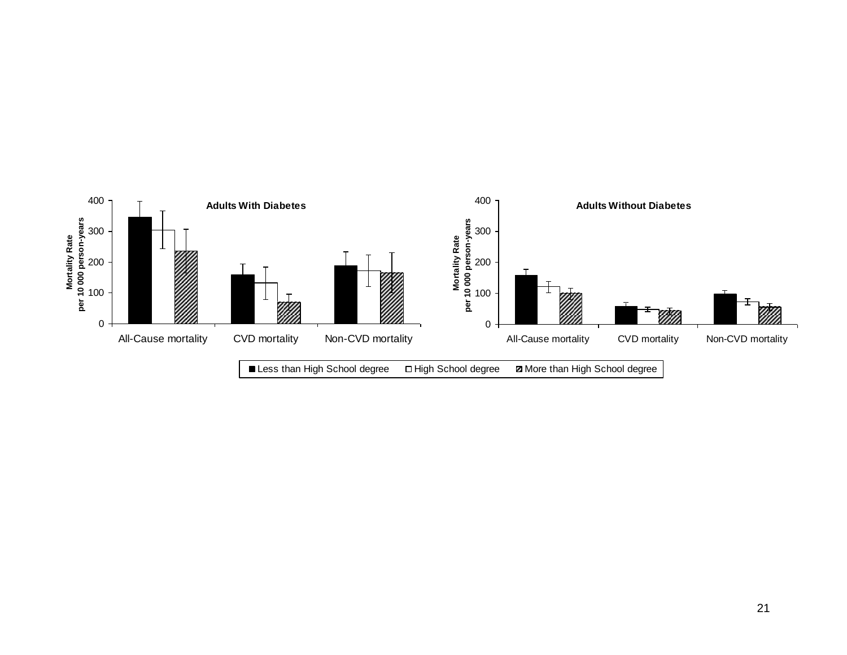